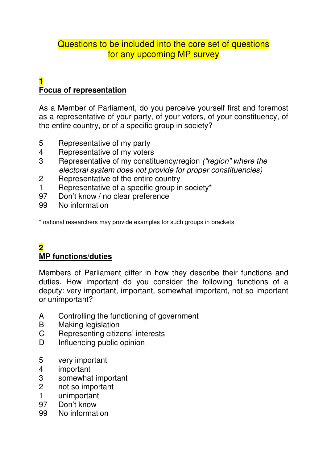# Questions to be included into the core set of questions for any upcoming MP survey

#### **1 Focus of representation**

As a Member of Parliament, do you perceive yourself first and foremost as a representative of your party, of your voters, of your constituency, of the entire country, or of a specific group in society?

- 5 Representative of my party
- 4 Representative of my voters
- 3 Representative of my constituency/region ("region" where the electoral system does not provide for proper constituencies)
- 2 Representative of the entire country
- 1 Representative of a specific group in society\*
- 97 Don't know / no clear preference
- 99 No information

\* national researchers may provide examples for such groups in brackets

## **2 MP functions/duties**

Members of Parliament differ in how they describe their functions and duties. How important do you consider the following functions of a deputy: very important, important, somewhat important, not so important or unimportant?

- A Controlling the functioning of government
- B Making legislation
- C Representing citizens' interests
- D Influencing public opinion
- 5 very important
- 4 important
- 3 somewhat important
- 2 not so important
- 1 unimportant
- 97 Don't know
- 99 No information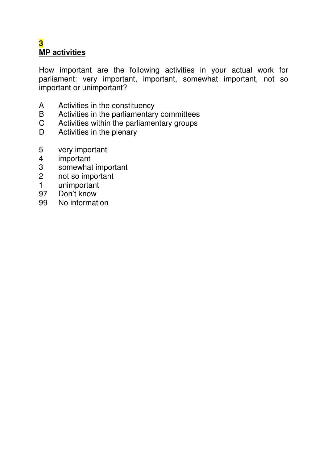## **3 MP activities**

How important are the following activities in your actual work for parliament: very important, important, somewhat important, not so important or unimportant?

- A Activities in the constituency
- B Activities in the parliamentary committees
- C Activities within the parliamentary groups<br>D Activities in the plenary
- Activities in the plenary
- 5 very important
- 4 important<br>3 somewhat
- 3 somewhat important<br>2 not so important
- 2 not so important<br>1 unimportant
- unimportant
- 97 Don't know<br>99 No informat
- No information